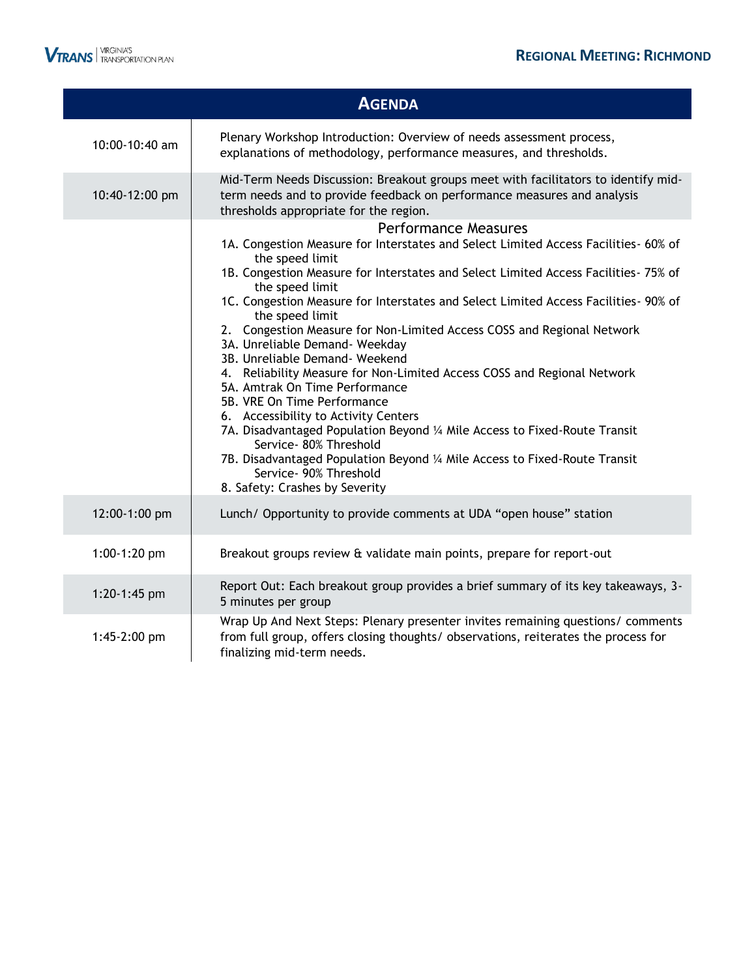|                | <b>AGENDA</b>                                                                                                                                                                                                                                                                                                                                                                                                                                                                                                                                                                                                                                                                                                                                                                                                                                                                                                                                 |
|----------------|-----------------------------------------------------------------------------------------------------------------------------------------------------------------------------------------------------------------------------------------------------------------------------------------------------------------------------------------------------------------------------------------------------------------------------------------------------------------------------------------------------------------------------------------------------------------------------------------------------------------------------------------------------------------------------------------------------------------------------------------------------------------------------------------------------------------------------------------------------------------------------------------------------------------------------------------------|
| 10:00-10:40 am | Plenary Workshop Introduction: Overview of needs assessment process,<br>explanations of methodology, performance measures, and thresholds.                                                                                                                                                                                                                                                                                                                                                                                                                                                                                                                                                                                                                                                                                                                                                                                                    |
| 10:40-12:00 pm | Mid-Term Needs Discussion: Breakout groups meet with facilitators to identify mid-<br>term needs and to provide feedback on performance measures and analysis<br>thresholds appropriate for the region.                                                                                                                                                                                                                                                                                                                                                                                                                                                                                                                                                                                                                                                                                                                                       |
|                | <b>Performance Measures</b><br>1A. Congestion Measure for Interstates and Select Limited Access Facilities- 60% of<br>the speed limit<br>1B. Congestion Measure for Interstates and Select Limited Access Facilities- 75% of<br>the speed limit<br>1C. Congestion Measure for Interstates and Select Limited Access Facilities- 90% of<br>the speed limit<br>2. Congestion Measure for Non-Limited Access COSS and Regional Network<br>3A. Unreliable Demand- Weekday<br>3B. Unreliable Demand- Weekend<br>4. Reliability Measure for Non-Limited Access COSS and Regional Network<br>5A. Amtrak On Time Performance<br>5B. VRE On Time Performance<br>6. Accessibility to Activity Centers<br>7A. Disadvantaged Population Beyond 1/4 Mile Access to Fixed-Route Transit<br>Service- 80% Threshold<br>7B. Disadvantaged Population Beyond 1/4 Mile Access to Fixed-Route Transit<br>Service- 90% Threshold<br>8. Safety: Crashes by Severity |
| 12:00-1:00 pm  | Lunch/ Opportunity to provide comments at UDA "open house" station                                                                                                                                                                                                                                                                                                                                                                                                                                                                                                                                                                                                                                                                                                                                                                                                                                                                            |
| 1:00-1:20 pm   | Breakout groups review & validate main points, prepare for report-out                                                                                                                                                                                                                                                                                                                                                                                                                                                                                                                                                                                                                                                                                                                                                                                                                                                                         |
| 1:20-1:45 pm   | Report Out: Each breakout group provides a brief summary of its key takeaways, 3-<br>5 minutes per group                                                                                                                                                                                                                                                                                                                                                                                                                                                                                                                                                                                                                                                                                                                                                                                                                                      |
| 1:45-2:00 pm   | Wrap Up And Next Steps: Plenary presenter invites remaining questions/ comments<br>from full group, offers closing thoughts/ observations, reiterates the process for<br>finalizing mid-term needs.                                                                                                                                                                                                                                                                                                                                                                                                                                                                                                                                                                                                                                                                                                                                           |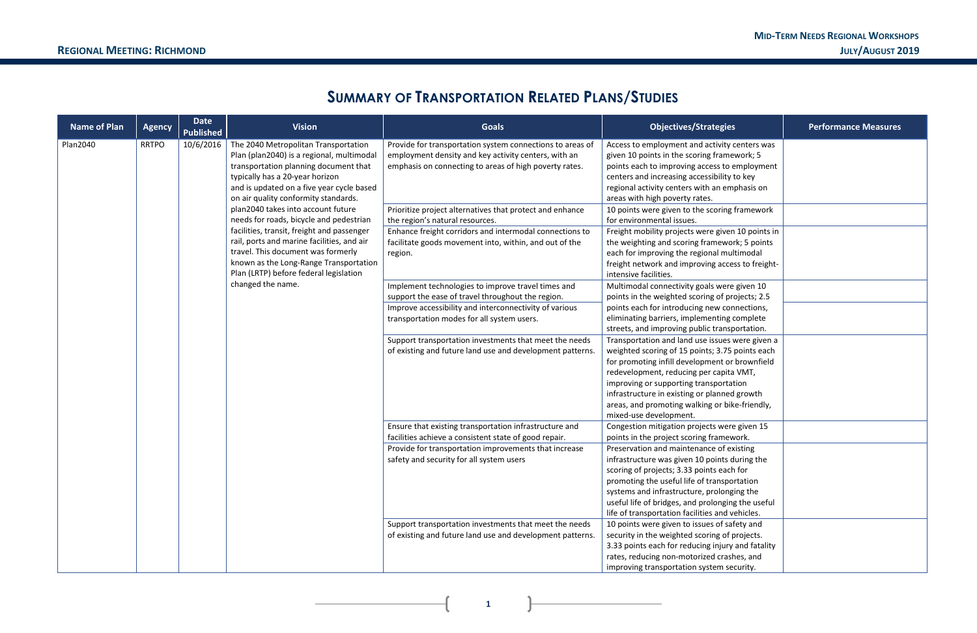**1**

# **SUMMARY OF TRANSPORTATION RELATED PLANS/STUDIES**

| <b>Name of Plan</b> | <b>Agency</b>     | <b>Date</b><br><b>Published</b>                                                                         | <b>Vision</b>                                                                                                                                                                                                                                      | <b>Goals</b>                                                                                                                                                                | <b>Objectives/Strategies</b>                                                                                                                                                                                                                                                                                                                                          | <b>Performance Measures</b> |                                                                                                                              |                                                                                                                                                                                                                               |  |
|---------------------|-------------------|---------------------------------------------------------------------------------------------------------|----------------------------------------------------------------------------------------------------------------------------------------------------------------------------------------------------------------------------------------------------|-----------------------------------------------------------------------------------------------------------------------------------------------------------------------------|-----------------------------------------------------------------------------------------------------------------------------------------------------------------------------------------------------------------------------------------------------------------------------------------------------------------------------------------------------------------------|-----------------------------|------------------------------------------------------------------------------------------------------------------------------|-------------------------------------------------------------------------------------------------------------------------------------------------------------------------------------------------------------------------------|--|
| <b>Plan2040</b>     | <b>RRTPO</b>      | 10/6/2016                                                                                               | The 2040 Metropolitan Transportation<br>Plan (plan2040) is a regional, multimodal<br>transportation planning document that<br>typically has a 20-year horizon<br>and is updated on a five year cycle based<br>on air quality conformity standards. | Provide for transportation system connections to areas of<br>employment density and key activity centers, with an<br>emphasis on connecting to areas of high poverty rates. | Access to employment and activity centers was<br>given 10 points in the scoring framework; 5<br>points each to improving access to employment<br>centers and increasing accessibility to key<br>regional activity centers with an emphasis on<br>areas with high poverty rates.                                                                                       |                             |                                                                                                                              |                                                                                                                                                                                                                               |  |
|                     |                   | plan2040 takes into account future<br>needs for roads, bicycle and pedestrian                           | Prioritize project alternatives that protect and enhance<br>the region's natural resources.                                                                                                                                                        | 10 points were given to the scoring framework<br>for environmental issues.                                                                                                  |                                                                                                                                                                                                                                                                                                                                                                       |                             |                                                                                                                              |                                                                                                                                                                                                                               |  |
|                     |                   |                                                                                                         | facilities, transit, freight and passenger<br>rail, ports and marine facilities, and air<br>travel. This document was formerly<br>known as the Long-Range Transportation                                                                           | Plan (LRTP) before federal legislation                                                                                                                                      |                                                                                                                                                                                                                                                                                                                                                                       |                             | Enhance freight corridors and intermodal connections to<br>facilitate goods movement into, within, and out of the<br>region. | Freight mobility projects were given 10 points in<br>the weighting and scoring framework; 5 points<br>each for improving the regional multimodal<br>freight network and improving access to freight-<br>intensive facilities. |  |
|                     | changed the name. | Implement technologies to improve travel times and<br>support the ease of travel throughout the region. | Multimodal connectivity goals were given 10<br>points in the weighted scoring of projects; 2.5                                                                                                                                                     |                                                                                                                                                                             |                                                                                                                                                                                                                                                                                                                                                                       |                             |                                                                                                                              |                                                                                                                                                                                                                               |  |
|                     |                   |                                                                                                         |                                                                                                                                                                                                                                                    | Improve accessibility and interconnectivity of various<br>transportation modes for all system users.                                                                        | points each for introducing new connections,<br>eliminating barriers, implementing complete<br>streets, and improving public transportation.                                                                                                                                                                                                                          |                             |                                                                                                                              |                                                                                                                                                                                                                               |  |
|                     |                   |                                                                                                         |                                                                                                                                                                                                                                                    | Support transportation investments that meet the needs<br>of existing and future land use and development patterns.                                                         | Transportation and land use issues were given a<br>weighted scoring of 15 points; 3.75 points each<br>for promoting infill development or brownfield<br>redevelopment, reducing per capita VMT,<br>improving or supporting transportation<br>infrastructure in existing or planned growth<br>areas, and promoting walking or bike-friendly,<br>mixed-use development. |                             |                                                                                                                              |                                                                                                                                                                                                                               |  |
|                     |                   |                                                                                                         |                                                                                                                                                                                                                                                    | Ensure that existing transportation infrastructure and<br>facilities achieve a consistent state of good repair.                                                             | Congestion mitigation projects were given 15<br>points in the project scoring framework.                                                                                                                                                                                                                                                                              |                             |                                                                                                                              |                                                                                                                                                                                                                               |  |
|                     |                   |                                                                                                         |                                                                                                                                                                                                                                                    | Provide for transportation improvements that increase<br>safety and security for all system users                                                                           | Preservation and maintenance of existing<br>infrastructure was given 10 points during the<br>scoring of projects; 3.33 points each for<br>promoting the useful life of transportation<br>systems and infrastructure, prolonging the<br>useful life of bridges, and prolonging the useful<br>life of transportation facilities and vehicles.                           |                             |                                                                                                                              |                                                                                                                                                                                                                               |  |
|                     |                   |                                                                                                         |                                                                                                                                                                                                                                                    | Support transportation investments that meet the needs<br>of existing and future land use and development patterns.                                                         | 10 points were given to issues of safety and<br>security in the weighted scoring of projects.<br>3.33 points each for reducing injury and fatality<br>rates, reducing non-motorized crashes, and<br>improving transportation system security.                                                                                                                         |                             |                                                                                                                              |                                                                                                                                                                                                                               |  |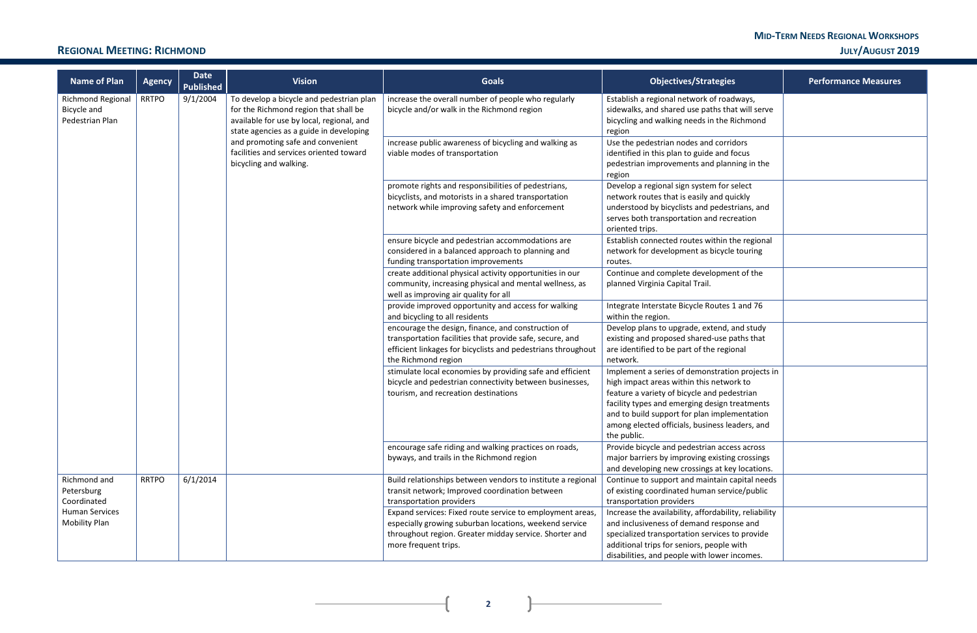### **MID-TERM NEEDS REGIONAL WORKSHOPS REGIONAL MEETING: RICHMOND JULY/AUGUST 2019**

 $\mathbf{R}$ 

 $\mathbf{I}$ 

| <b>Name of Plan</b>                                                                    | <b>Agency</b> | Date<br><b>Published</b> | <b>Vision</b>                                                                                                                                                             | <b>Goals</b>                                                                                                                                                                                          | <b>Objectives/Strategies</b>                                                                                                                                                                                                                     | <b>Performance Measures</b>                                                                                                                  |                                                                                                         |  |  |  |                                                                                                                                                              |                                                                                                                                                                                                                                                                                               |  |  |                                                                                                                                                                                                       |                                                                                                                                                     |  |
|----------------------------------------------------------------------------------------|---------------|--------------------------|---------------------------------------------------------------------------------------------------------------------------------------------------------------------------|-------------------------------------------------------------------------------------------------------------------------------------------------------------------------------------------------------|--------------------------------------------------------------------------------------------------------------------------------------------------------------------------------------------------------------------------------------------------|----------------------------------------------------------------------------------------------------------------------------------------------|---------------------------------------------------------------------------------------------------------|--|--|--|--------------------------------------------------------------------------------------------------------------------------------------------------------------|-----------------------------------------------------------------------------------------------------------------------------------------------------------------------------------------------------------------------------------------------------------------------------------------------|--|--|-------------------------------------------------------------------------------------------------------------------------------------------------------------------------------------------------------|-----------------------------------------------------------------------------------------------------------------------------------------------------|--|
| 9/1/2004<br><b>Richmond Regional</b><br><b>RRTPO</b><br>Bicycle and<br>Pedestrian Plan |               |                          | To develop a bicycle and pedestrian plan<br>for the Richmond region that shall be<br>available for use by local, regional, and<br>state agencies as a guide in developing | increase the overall number of people who regularly<br>bicycle and/or walk in the Richmond region                                                                                                     | Establish a regional network of roadways,<br>sidewalks, and shared use paths that will serve<br>bicycling and walking needs in the Richmond<br>region                                                                                            |                                                                                                                                              |                                                                                                         |  |  |  |                                                                                                                                                              |                                                                                                                                                                                                                                                                                               |  |  |                                                                                                                                                                                                       |                                                                                                                                                     |  |
|                                                                                        |               |                          | and promoting safe and convenient<br>facilities and services oriented toward<br>bicycling and walking.                                                                    | increase public awareness of bicycling and walking as<br>viable modes of transportation                                                                                                               | Use the pedestrian nodes and corridors<br>identified in this plan to guide and focus<br>pedestrian improvements and planning in the<br>region                                                                                                    |                                                                                                                                              |                                                                                                         |  |  |  |                                                                                                                                                              |                                                                                                                                                                                                                                                                                               |  |  |                                                                                                                                                                                                       |                                                                                                                                                     |  |
|                                                                                        |               |                          |                                                                                                                                                                           | promote rights and responsibilities of pedestrians,<br>bicyclists, and motorists in a shared transportation<br>network while improving safety and enforcement                                         | Develop a regional sign system for select<br>network routes that is easily and quickly<br>understood by bicyclists and pedestrians, and<br>serves both transportation and recreation<br>oriented trips.                                          |                                                                                                                                              |                                                                                                         |  |  |  |                                                                                                                                                              |                                                                                                                                                                                                                                                                                               |  |  |                                                                                                                                                                                                       |                                                                                                                                                     |  |
|                                                                                        |               |                          |                                                                                                                                                                           |                                                                                                                                                                                                       |                                                                                                                                                                                                                                                  | ensure bicycle and pedestrian accommodations are<br>considered in a balanced approach to planning and<br>funding transportation improvements | Establish connected routes within the regional<br>network for development as bicycle touring<br>routes. |  |  |  |                                                                                                                                                              |                                                                                                                                                                                                                                                                                               |  |  |                                                                                                                                                                                                       |                                                                                                                                                     |  |
|                                                                                        |               |                          |                                                                                                                                                                           | create additional physical activity opportunities in our<br>community, increasing physical and mental wellness, as<br>well as improving air quality for all                                           | Continue and complete development of the<br>planned Virginia Capital Trail.                                                                                                                                                                      |                                                                                                                                              |                                                                                                         |  |  |  |                                                                                                                                                              |                                                                                                                                                                                                                                                                                               |  |  |                                                                                                                                                                                                       |                                                                                                                                                     |  |
|                                                                                        |               |                          |                                                                                                                                                                           | provide improved opportunity and access for walking<br>and bicycling to all residents                                                                                                                 | Integrate Interstate Bicycle Routes 1 and 76<br>within the region.                                                                                                                                                                               |                                                                                                                                              |                                                                                                         |  |  |  |                                                                                                                                                              |                                                                                                                                                                                                                                                                                               |  |  |                                                                                                                                                                                                       |                                                                                                                                                     |  |
|                                                                                        |               |                          |                                                                                                                                                                           |                                                                                                                                                                                                       |                                                                                                                                                                                                                                                  |                                                                                                                                              |                                                                                                         |  |  |  |                                                                                                                                                              |                                                                                                                                                                                                                                                                                               |  |  | encourage the design, finance, and construction of<br>transportation facilities that provide safe, secure, and<br>efficient linkages for bicyclists and pedestrians throughout<br>the Richmond region | Develop plans to upgrade, extend, and study<br>existing and proposed shared-use paths that<br>are identified to be part of the regional<br>network. |  |
|                                                                                        |               |                          |                                                                                                                                                                           |                                                                                                                                                                                                       |                                                                                                                                                                                                                                                  |                                                                                                                                              |                                                                                                         |  |  |  | stimulate local economies by providing safe and efficient<br>bicycle and pedestrian connectivity between businesses,<br>tourism, and recreation destinations | Implement a series of demonstration projects in<br>high impact areas within this network to<br>feature a variety of bicycle and pedestrian<br>facility types and emerging design treatments<br>and to build support for plan implementation<br>among elected officials, business leaders, and |  |  |                                                                                                                                                                                                       |                                                                                                                                                     |  |
|                                                                                        |               |                          |                                                                                                                                                                           |                                                                                                                                                                                                       | the public.                                                                                                                                                                                                                                      |                                                                                                                                              |                                                                                                         |  |  |  |                                                                                                                                                              |                                                                                                                                                                                                                                                                                               |  |  |                                                                                                                                                                                                       |                                                                                                                                                     |  |
|                                                                                        |               |                          | encourage safe riding and walking practices on roads,<br>byways, and trails in the Richmond region                                                                        | Provide bicycle and pedestrian access across<br>major barriers by improving existing crossings<br>and developing new crossings at key locations.                                                      |                                                                                                                                                                                                                                                  |                                                                                                                                              |                                                                                                         |  |  |  |                                                                                                                                                              |                                                                                                                                                                                                                                                                                               |  |  |                                                                                                                                                                                                       |                                                                                                                                                     |  |
| Richmond and<br>Petersburg<br>Coordinated                                              | <b>RRTPO</b>  | 6/1/2014                 |                                                                                                                                                                           | Build relationships between vendors to institute a regional<br>transit network; Improved coordination between<br>transportation providers                                                             | Continue to support and maintain capital needs<br>of existing coordinated human service/public<br>transportation providers                                                                                                                       |                                                                                                                                              |                                                                                                         |  |  |  |                                                                                                                                                              |                                                                                                                                                                                                                                                                                               |  |  |                                                                                                                                                                                                       |                                                                                                                                                     |  |
| <b>Human Services</b><br><b>Mobility Plan</b>                                          |               |                          |                                                                                                                                                                           | Expand services: Fixed route service to employment areas,<br>especially growing suburban locations, weekend service<br>throughout region. Greater midday service. Shorter and<br>more frequent trips. | Increase the availability, affordability, reliability<br>and inclusiveness of demand response and<br>specialized transportation services to provide<br>additional trips for seniors, people with<br>disabilities, and people with lower incomes. |                                                                                                                                              |                                                                                                         |  |  |  |                                                                                                                                                              |                                                                                                                                                                                                                                                                                               |  |  |                                                                                                                                                                                                       |                                                                                                                                                     |  |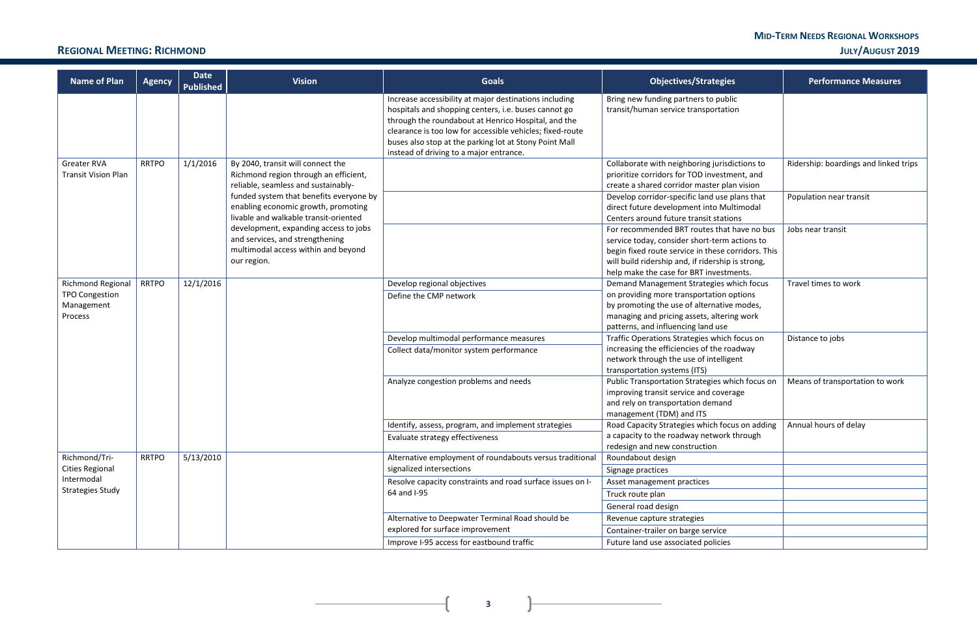### **MID-TERM NEEDS REGIONAL WORKSHOPS REGIONAL MEETING: RICHMOND JULY/AUGUST 2019**

**3**

| <b>Name of Plan</b>        | <b>Agency</b> | <b>Date</b><br><b>Published</b> | <b>Vision</b>                           | <b>Goals</b>                                                                                                                                                                                                                                                                                                                            | <b>Objectives/Strategies</b>                                                                       | <b>Performance Measures</b>           |
|----------------------------|---------------|---------------------------------|-----------------------------------------|-----------------------------------------------------------------------------------------------------------------------------------------------------------------------------------------------------------------------------------------------------------------------------------------------------------------------------------------|----------------------------------------------------------------------------------------------------|---------------------------------------|
|                            |               |                                 |                                         | Increase accessibility at major destinations including<br>hospitals and shopping centers, i.e. buses cannot go<br>through the roundabout at Henrico Hospital, and the<br>clearance is too low for accessible vehicles; fixed-route<br>buses also stop at the parking lot at Stony Point Mall<br>instead of driving to a major entrance. | Bring new funding partners to public<br>transit/human service transportation                       |                                       |
| <b>Greater RVA</b>         | <b>RRTPO</b>  | 1/1/2016                        | By 2040, transit will connect the       |                                                                                                                                                                                                                                                                                                                                         | Collaborate with neighboring jurisdictions to                                                      | Ridership: boardings and linked trips |
| <b>Transit Vision Plan</b> |               |                                 | Richmond region through an efficient,   |                                                                                                                                                                                                                                                                                                                                         | prioritize corridors for TOD investment, and                                                       |                                       |
|                            |               |                                 | reliable, seamless and sustainably-     |                                                                                                                                                                                                                                                                                                                                         | create a shared corridor master plan vision                                                        |                                       |
|                            |               |                                 | funded system that benefits everyone by |                                                                                                                                                                                                                                                                                                                                         | Develop corridor-specific land use plans that                                                      | Population near transit               |
|                            |               |                                 | enabling economic growth, promoting     |                                                                                                                                                                                                                                                                                                                                         | direct future development into Multimodal                                                          |                                       |
|                            |               |                                 | livable and walkable transit-oriented   |                                                                                                                                                                                                                                                                                                                                         | Centers around future transit stations                                                             |                                       |
|                            |               |                                 | development, expanding access to jobs   |                                                                                                                                                                                                                                                                                                                                         | For recommended BRT routes that have no bus                                                        | Jobs near transit                     |
|                            |               |                                 | and services, and strengthening         |                                                                                                                                                                                                                                                                                                                                         | service today, consider short-term actions to                                                      |                                       |
|                            |               |                                 | multimodal access within and beyond     |                                                                                                                                                                                                                                                                                                                                         | begin fixed route service in these corridors. This                                                 |                                       |
|                            |               |                                 | our region.                             |                                                                                                                                                                                                                                                                                                                                         | will build ridership and, if ridership is strong,                                                  |                                       |
|                            |               |                                 |                                         |                                                                                                                                                                                                                                                                                                                                         | help make the case for BRT investments.                                                            |                                       |
| <b>Richmond Regional</b>   | <b>RRTPO</b>  | 12/1/2016                       |                                         | Develop regional objectives                                                                                                                                                                                                                                                                                                             | Demand Management Strategies which focus                                                           | Travel times to work                  |
| <b>TPO Congestion</b>      |               |                                 |                                         | Define the CMP network                                                                                                                                                                                                                                                                                                                  | on providing more transportation options                                                           |                                       |
| Management                 |               |                                 |                                         |                                                                                                                                                                                                                                                                                                                                         | by promoting the use of alternative modes,                                                         |                                       |
| Process                    |               |                                 |                                         |                                                                                                                                                                                                                                                                                                                                         | managing and pricing assets, altering work                                                         |                                       |
|                            |               |                                 |                                         |                                                                                                                                                                                                                                                                                                                                         | patterns, and influencing land use                                                                 |                                       |
|                            |               |                                 |                                         | Develop multimodal performance measures                                                                                                                                                                                                                                                                                                 | Traffic Operations Strategies which focus on                                                       | Distance to jobs                      |
|                            |               |                                 |                                         | Collect data/monitor system performance                                                                                                                                                                                                                                                                                                 | increasing the efficiencies of the roadway                                                         |                                       |
|                            |               |                                 |                                         |                                                                                                                                                                                                                                                                                                                                         | network through the use of intelligent                                                             |                                       |
|                            |               |                                 |                                         |                                                                                                                                                                                                                                                                                                                                         | transportation systems (ITS)                                                                       |                                       |
|                            |               |                                 |                                         | Analyze congestion problems and needs                                                                                                                                                                                                                                                                                                   | Public Transportation Strategies which focus on                                                    | Means of transportation to work       |
|                            |               |                                 |                                         |                                                                                                                                                                                                                                                                                                                                         | improving transit service and coverage                                                             |                                       |
|                            |               |                                 |                                         |                                                                                                                                                                                                                                                                                                                                         | and rely on transportation demand                                                                  |                                       |
|                            |               |                                 |                                         |                                                                                                                                                                                                                                                                                                                                         | management (TDM) and ITS<br>Road Capacity Strategies which focus on adding   Annual hours of delay |                                       |
|                            |               |                                 |                                         | Identify, assess, program, and implement strategies                                                                                                                                                                                                                                                                                     |                                                                                                    |                                       |
|                            |               |                                 |                                         | Evaluate strategy effectiveness                                                                                                                                                                                                                                                                                                         | a capacity to the roadway network through<br>redesign and new construction                         |                                       |
| Richmond/Tri-              | <b>RRTPO</b>  | 5/13/2010                       |                                         | Alternative employment of roundabouts versus traditional                                                                                                                                                                                                                                                                                | Roundabout design                                                                                  |                                       |
| <b>Cities Regional</b>     |               |                                 |                                         | signalized intersections                                                                                                                                                                                                                                                                                                                | Signage practices                                                                                  |                                       |
| Intermodal                 |               |                                 |                                         | Resolve capacity constraints and road surface issues on I-                                                                                                                                                                                                                                                                              | Asset management practices                                                                         |                                       |
| <b>Strategies Study</b>    |               |                                 |                                         | 64 and I-95                                                                                                                                                                                                                                                                                                                             | Truck route plan                                                                                   |                                       |
|                            |               |                                 |                                         |                                                                                                                                                                                                                                                                                                                                         | General road design                                                                                |                                       |
|                            |               |                                 |                                         |                                                                                                                                                                                                                                                                                                                                         |                                                                                                    |                                       |
|                            |               |                                 |                                         | Alternative to Deepwater Terminal Road should be<br>explored for surface improvement                                                                                                                                                                                                                                                    | Revenue capture strategies                                                                         |                                       |
|                            |               |                                 |                                         |                                                                                                                                                                                                                                                                                                                                         | Container-trailer on barge service                                                                 |                                       |
|                            |               |                                 |                                         | Improve I-95 access for eastbound traffic                                                                                                                                                                                                                                                                                               | Future land use associated policies                                                                |                                       |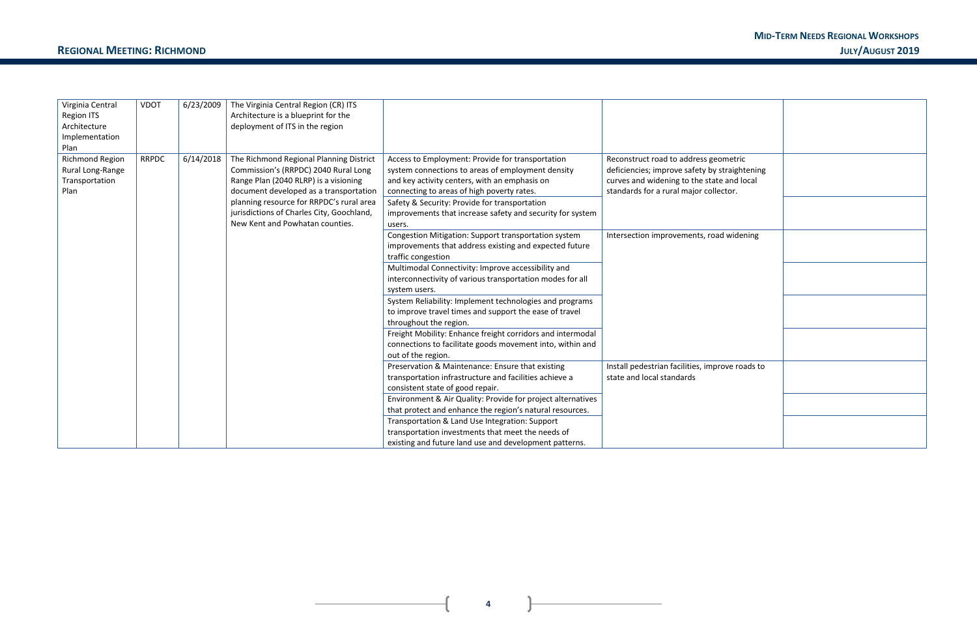### **MID-TERM NEEDS REGIONAL WORKSHOPS REGIONAL MEETING: RICHMOND JULY/AUGUST 2019**

| ometric<br>straightening<br>e and local<br>ector. |  |
|---------------------------------------------------|--|
|                                                   |  |
| d widening                                        |  |
|                                                   |  |
|                                                   |  |
|                                                   |  |
| rove roads to                                     |  |
|                                                   |  |
|                                                   |  |

**4**

| Virginia Central       | <b>VDOT</b>  | 6/23/2009 | The Virginia Central Region (CR) ITS      |                                                             |                                                 |
|------------------------|--------------|-----------|-------------------------------------------|-------------------------------------------------------------|-------------------------------------------------|
| Region ITS             |              |           | Architecture is a blueprint for the       |                                                             |                                                 |
| Architecture           |              |           | deployment of ITS in the region           |                                                             |                                                 |
| Implementation         |              |           |                                           |                                                             |                                                 |
| Plan                   |              |           |                                           |                                                             |                                                 |
| <b>Richmond Region</b> | <b>RRPDC</b> | 6/14/2018 | The Richmond Regional Planning District   | Access to Employment: Provide for transportation            | Reconstruct road to address geometric           |
| Rural Long-Range       |              |           | Commission's (RRPDC) 2040 Rural Long      | system connections to areas of employment density           | deficiencies; improve safety by straightening   |
| Transportation         |              |           | Range Plan (2040 RLRP) is a visioning     | and key activity centers, with an emphasis on               | curves and widening to the state and local      |
| Plan                   |              |           | document developed as a transportation    | connecting to areas of high poverty rates.                  | standards for a rural major collector.          |
|                        |              |           | planning resource for RRPDC's rural area  | Safety & Security: Provide for transportation               |                                                 |
|                        |              |           | jurisdictions of Charles City, Goochland, | improvements that increase safety and security for system   |                                                 |
|                        |              |           | New Kent and Powhatan counties.           | users.                                                      |                                                 |
|                        |              |           |                                           | Congestion Mitigation: Support transportation system        | Intersection improvements, road widening        |
|                        |              |           |                                           | improvements that address existing and expected future      |                                                 |
|                        |              |           |                                           | traffic congestion                                          |                                                 |
|                        |              |           |                                           | Multimodal Connectivity: Improve accessibility and          |                                                 |
|                        |              |           |                                           | interconnectivity of various transportation modes for all   |                                                 |
|                        |              |           |                                           | system users.                                               |                                                 |
|                        |              |           |                                           | System Reliability: Implement technologies and programs     |                                                 |
|                        |              |           |                                           | to improve travel times and support the ease of travel      |                                                 |
|                        |              |           |                                           | throughout the region.                                      |                                                 |
|                        |              |           |                                           | Freight Mobility: Enhance freight corridors and intermodal  |                                                 |
|                        |              |           |                                           | connections to facilitate goods movement into, within and   |                                                 |
|                        |              |           |                                           | out of the region.                                          |                                                 |
|                        |              |           |                                           | Preservation & Maintenance: Ensure that existing            | Install pedestrian facilities, improve roads to |
|                        |              |           |                                           | transportation infrastructure and facilities achieve a      | state and local standards                       |
|                        |              |           |                                           | consistent state of good repair.                            |                                                 |
|                        |              |           |                                           | Environment & Air Quality: Provide for project alternatives |                                                 |
|                        |              |           |                                           | that protect and enhance the region's natural resources.    |                                                 |
|                        |              |           |                                           | Transportation & Land Use Integration: Support              |                                                 |
|                        |              |           |                                           | transportation investments that meet the needs of           |                                                 |
|                        |              |           |                                           | existing and future land use and development patterns.      |                                                 |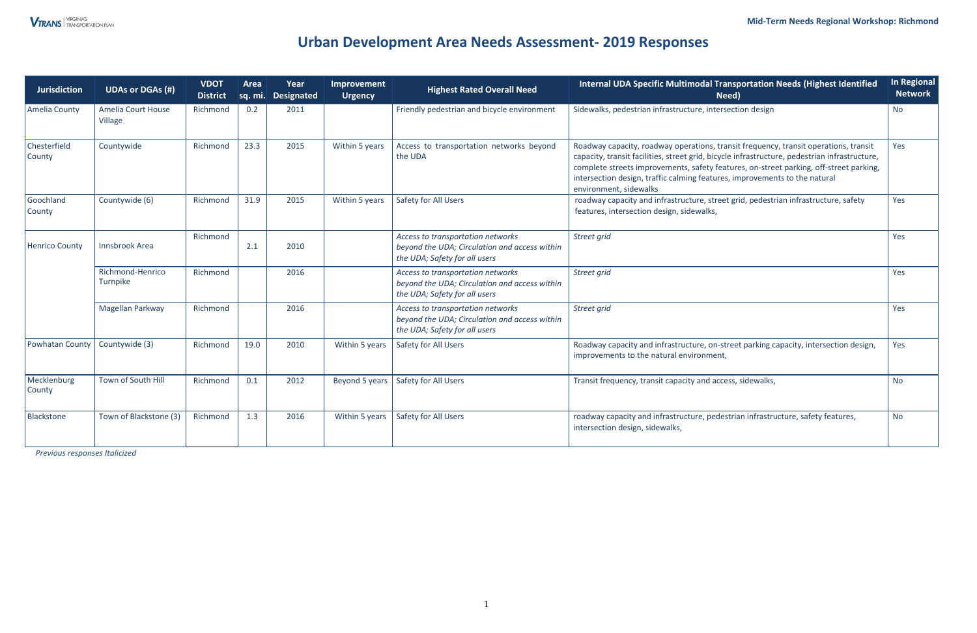# **Urban Development Area Needs Assessment- 2019 Responses**

*Previous responses Italicized* 

| <b>Jurisdiction</b>    | <b>UDAs or DGAs (#)</b>              | <b>VDOT</b><br><b>District</b> | Area | Year<br>sq. mi. Designated | Improvement<br><b>Urgency</b> | <b>Highest Rated Overall Need</b>                                                                                                                        | Internal UDA Specific Multimodal Transportation Needs (Highest Identified<br>Need)                                                                                                                                                                                                                                                                                                      | <b>In Regional</b><br><b>Network</b> |
|------------------------|--------------------------------------|--------------------------------|------|----------------------------|-------------------------------|----------------------------------------------------------------------------------------------------------------------------------------------------------|-----------------------------------------------------------------------------------------------------------------------------------------------------------------------------------------------------------------------------------------------------------------------------------------------------------------------------------------------------------------------------------------|--------------------------------------|
| Amelia County          | <b>Amelia Court House</b><br>Village | Richmond                       | 0.2  | 2011                       |                               | Friendly pedestrian and bicycle environment                                                                                                              | Sidewalks, pedestrian infrastructure, intersection design                                                                                                                                                                                                                                                                                                                               | <b>No</b>                            |
| Chesterfield<br>County | Countywide                           | Richmond                       | 23.3 | 2015                       | Within 5 years                | Access to transportation networks beyond<br>the UDA                                                                                                      | Roadway capacity, roadway operations, transit frequency, transit operations, transit<br>capacity, transit facilities, street grid, bicycle infrastructure, pedestrian infrastructure,<br>complete streets improvements, safety features, on-street parking, off-street parking,<br>intersection design, traffic calming features, improvements to the natural<br>environment, sidewalks | Yes                                  |
| Goochland<br>County    | Countywide (6)                       | Richmond                       | 31.9 | 2015                       | Within 5 years                | Safety for All Users<br>roadway capacity and infrastructure, street grid, pedestrian infrastructure, safety<br>features, intersection design, sidewalks, |                                                                                                                                                                                                                                                                                                                                                                                         | Yes                                  |
| <b>Henrico County</b>  | Innsbrook Area                       | Richmond                       | 2.1  | 2010                       |                               | Access to transportation networks<br>beyond the UDA; Circulation and access within<br>the UDA; Safety for all users                                      | Street grid                                                                                                                                                                                                                                                                                                                                                                             | Yes                                  |
|                        | Richmond-Henrico<br>Turnpike         | Richmond                       |      | 2016                       |                               | Access to transportation networks<br>beyond the UDA; Circulation and access within<br>the UDA; Safety for all users                                      | Street grid                                                                                                                                                                                                                                                                                                                                                                             | Yes                                  |
|                        | Magellan Parkway                     | Richmond                       |      | 2016                       |                               | Access to transportation networks<br>beyond the UDA; Circulation and access within<br>the UDA; Safety for all users                                      | Street grid                                                                                                                                                                                                                                                                                                                                                                             | Yes                                  |
| Powhatan County        | Countywide (3)                       | Richmond                       | 19.0 | 2010                       | Within 5 years                | <b>Safety for All Users</b>                                                                                                                              | Roadway capacity and infrastructure, on-street parking capacity, intersection design,<br>improvements to the natural environment,                                                                                                                                                                                                                                                       | Yes                                  |
| Mecklenburg<br>County  | Town of South Hill                   | Richmond                       | 0.1  | 2012                       | Beyond 5 years                | Safety for All Users                                                                                                                                     | Transit frequency, transit capacity and access, sidewalks,                                                                                                                                                                                                                                                                                                                              | <b>No</b>                            |
| Blackstone             | Town of Blackstone (3)               | Richmond                       | 1.3  | 2016                       | Within 5 years                | Safety for All Users                                                                                                                                     | roadway capacity and infrastructure, pedestrian infrastructure, safety features,<br>intersection design, sidewalks,                                                                                                                                                                                                                                                                     | <b>No</b>                            |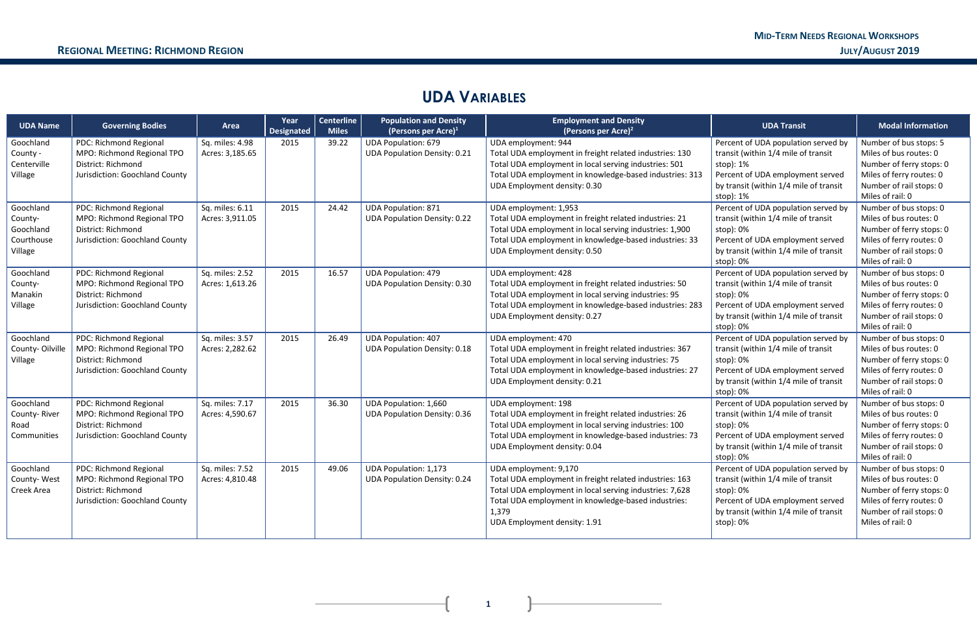$\overline{1}$ 

## **UDA VARIABLES**

| <b>UDA Name</b>                                            | <b>Governing Bodies</b>                                                                                      | Area                               | Year<br><b>Designated</b> | <b>Centerline</b><br><b>Miles</b> | <b>Population and Density</b><br>(Persons per Acre) $1$             | <b>Employment and Density</b><br>(Persons per Acre) <sup>2</sup>                                                                                                                                                                            | <b>UDA Transit</b>                                                                                                                                                                 | <b>Modal Information</b>                                                                                                                                |
|------------------------------------------------------------|--------------------------------------------------------------------------------------------------------------|------------------------------------|---------------------------|-----------------------------------|---------------------------------------------------------------------|---------------------------------------------------------------------------------------------------------------------------------------------------------------------------------------------------------------------------------------------|------------------------------------------------------------------------------------------------------------------------------------------------------------------------------------|---------------------------------------------------------------------------------------------------------------------------------------------------------|
| Goochland<br>County -<br>Centerville<br>Village            | PDC: Richmond Regional<br>MPO: Richmond Regional TPO<br>District: Richmond<br>Jurisdiction: Goochland County | Sq. miles: 4.98<br>Acres: 3,185.65 | 2015                      | 39.22                             | <b>UDA Population: 679</b><br><b>UDA Population Density: 0.21</b>   | UDA employment: 944<br>Total UDA employment in freight related industries: 130<br>Total UDA employment in local serving industries: 501<br>Total UDA employment in knowledge-based industries: 313<br>UDA Employment density: 0.30          | Percent of UDA population served by<br>transit (within 1/4 mile of transit<br>stop): 1%<br>Percent of UDA employment served<br>by transit (within 1/4 mile of transit<br>stop): 1% | Number of bus stops: 5<br>Miles of bus routes: 0<br>Number of ferry stops: 0<br>Miles of ferry routes: 0<br>Number of rail stops: 0<br>Miles of rail: 0 |
| Goochland<br>County-<br>Goochland<br>Courthouse<br>Village | PDC: Richmond Regional<br>MPO: Richmond Regional TPO<br>District: Richmond<br>Jurisdiction: Goochland County | Sq. miles: 6.11<br>Acres: 3,911.05 | 2015                      | 24.42                             | <b>UDA Population: 871</b><br><b>UDA Population Density: 0.22</b>   | UDA employment: 1,953<br>Total UDA employment in freight related industries: 21<br>Total UDA employment in local serving industries: 1,900<br>Total UDA employment in knowledge-based industries: 33<br>UDA Employment density: 0.50        | Percent of UDA population served by<br>transit (within 1/4 mile of transit<br>stop): 0%<br>Percent of UDA employment served<br>by transit (within 1/4 mile of transit<br>stop): 0% | Number of bus stops: 0<br>Miles of bus routes: 0<br>Number of ferry stops: 0<br>Miles of ferry routes: 0<br>Number of rail stops: 0<br>Miles of rail: 0 |
| Goochland<br>County-<br>Manakin<br>Village                 | PDC: Richmond Regional<br>MPO: Richmond Regional TPO<br>District: Richmond<br>Jurisdiction: Goochland County | Sq. miles: 2.52<br>Acres: 1,613.26 | 2015                      | 16.57                             | <b>UDA Population: 479</b><br><b>UDA Population Density: 0.30</b>   | UDA employment: 428<br>Total UDA employment in freight related industries: 50<br>Total UDA employment in local serving industries: 95<br>Total UDA employment in knowledge-based industries: 283<br>UDA Employment density: 0.27            | Percent of UDA population served by<br>transit (within 1/4 mile of transit<br>stop): 0%<br>Percent of UDA employment served<br>by transit (within 1/4 mile of transit<br>stop): 0% | Number of bus stops: 0<br>Miles of bus routes: 0<br>Number of ferry stops: 0<br>Miles of ferry routes: 0<br>Number of rail stops: 0<br>Miles of rail: 0 |
| Goochland<br>County-Oilville<br>Village                    | PDC: Richmond Regional<br>MPO: Richmond Regional TPO<br>District: Richmond<br>Jurisdiction: Goochland County | Sq. miles: 3.57<br>Acres: 2,282.62 | 2015                      | 26.49                             | <b>UDA Population: 407</b><br><b>UDA Population Density: 0.18</b>   | UDA employment: 470<br>Total UDA employment in freight related industries: 367<br>Total UDA employment in local serving industries: 75<br>Total UDA employment in knowledge-based industries: 27<br>UDA Employment density: 0.21            | Percent of UDA population served by<br>transit (within 1/4 mile of transit<br>stop): 0%<br>Percent of UDA employment served<br>by transit (within 1/4 mile of transit<br>stop): 0% | Number of bus stops: 0<br>Miles of bus routes: 0<br>Number of ferry stops: 0<br>Miles of ferry routes: 0<br>Number of rail stops: 0<br>Miles of rail: 0 |
| Goochland<br>County-River<br>Road<br>Communities           | PDC: Richmond Regional<br>MPO: Richmond Regional TPO<br>District: Richmond<br>Jurisdiction: Goochland County | Sq. miles: 7.17<br>Acres: 4,590.67 | 2015                      | 36.30                             | <b>UDA Population: 1,660</b><br><b>UDA Population Density: 0.36</b> | UDA employment: 198<br>Total UDA employment in freight related industries: 26<br>Total UDA employment in local serving industries: 100<br>Total UDA employment in knowledge-based industries: 73<br>UDA Employment density: 0.04            | Percent of UDA population served by<br>transit (within 1/4 mile of transit<br>stop): 0%<br>Percent of UDA employment served<br>by transit (within 1/4 mile of transit<br>stop): 0% | Number of bus stops: 0<br>Miles of bus routes: 0<br>Number of ferry stops: 0<br>Miles of ferry routes: 0<br>Number of rail stops: 0<br>Miles of rail: 0 |
| Goochland<br>County-West<br>Creek Area                     | PDC: Richmond Regional<br>MPO: Richmond Regional TPO<br>District: Richmond<br>Jurisdiction: Goochland County | Sq. miles: 7.52<br>Acres: 4,810.48 | 2015                      | 49.06                             | <b>UDA Population: 1,173</b><br><b>UDA Population Density: 0.24</b> | UDA employment: 9,170<br>Total UDA employment in freight related industries: 163<br>Total UDA employment in local serving industries: 7,628<br>Total UDA employment in knowledge-based industries:<br>1,379<br>UDA Employment density: 1.91 | Percent of UDA population served by<br>transit (within 1/4 mile of transit<br>stop): 0%<br>Percent of UDA employment served<br>by transit (within 1/4 mile of transit<br>stop): 0% | Number of bus stops: 0<br>Miles of bus routes: 0<br>Number of ferry stops: 0<br>Miles of ferry routes: 0<br>Number of rail stops: 0<br>Miles of rail: 0 |